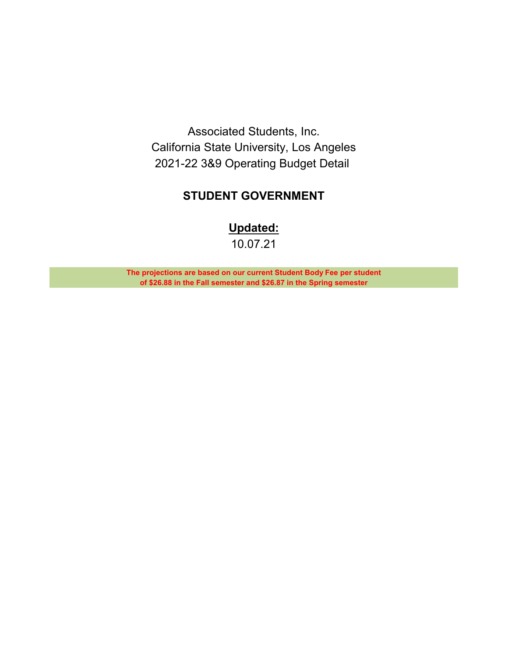Associated Students, Inc. California State University, Los Angeles 2021-22 3&9 Operating Budget Detail

# **STUDENT GOVERNMENT**

**Updated:**

10.07.21

**The projections are based on our current Student Body Fee per student of \$26.88 in the Fall semester and \$26.87 in the Spring semester**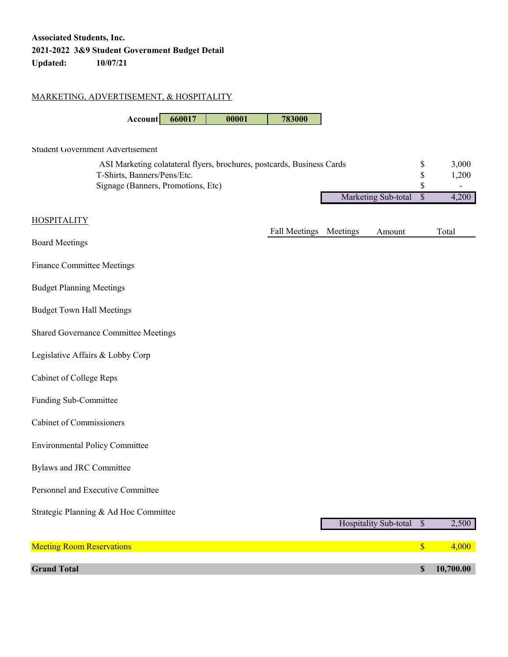### MARKETING, ADVERTISEMENT, & HOSPITALITY

**Account 660017 00001 783000**

#### Student Government Advertisement

| ASI Marketing colatateral flyers, brochures, postcards, Business Cards |                        | 3.000 |
|------------------------------------------------------------------------|------------------------|-------|
| T-Shirts, Banners/Pens/Etc.                                            |                        | 1.200 |
| Signage (Banners, Promotions, Etc)                                     |                        |       |
|                                                                        | Marketing Sub-total \$ | 4.200 |

| <b>HOSPITALITY</b>                    |                        |                       |                           |           |
|---------------------------------------|------------------------|-----------------------|---------------------------|-----------|
| <b>Board Meetings</b>                 | Fall Meetings Meetings | Amount                |                           | Total     |
| <b>Finance Committee Meetings</b>     |                        |                       |                           |           |
| <b>Budget Planning Meetings</b>       |                        |                       |                           |           |
| <b>Budget Town Hall Meetings</b>      |                        |                       |                           |           |
| Shared Governance Committee Meetings  |                        |                       |                           |           |
| Legislative Affairs & Lobby Corp      |                        |                       |                           |           |
| Cabinet of College Reps               |                        |                       |                           |           |
| Funding Sub-Committee                 |                        |                       |                           |           |
| <b>Cabinet of Commissioners</b>       |                        |                       |                           |           |
| <b>Environmental Policy Committee</b> |                        |                       |                           |           |
| <b>Bylaws and JRC Committee</b>       |                        |                       |                           |           |
| Personnel and Executive Committee     |                        |                       |                           |           |
| Strategic Planning & Ad Hoc Committee |                        | Hospitality Sub-total | $\overline{\mathcal{S}}$  | 2,500     |
|                                       |                        |                       |                           |           |
| <b>Meeting Room Reservations</b>      |                        |                       | $\boldsymbol{\mathsf{S}}$ | 4,000     |
| <b>Grand Total</b>                    |                        |                       | $\mathbb{S}$              | 10,700.00 |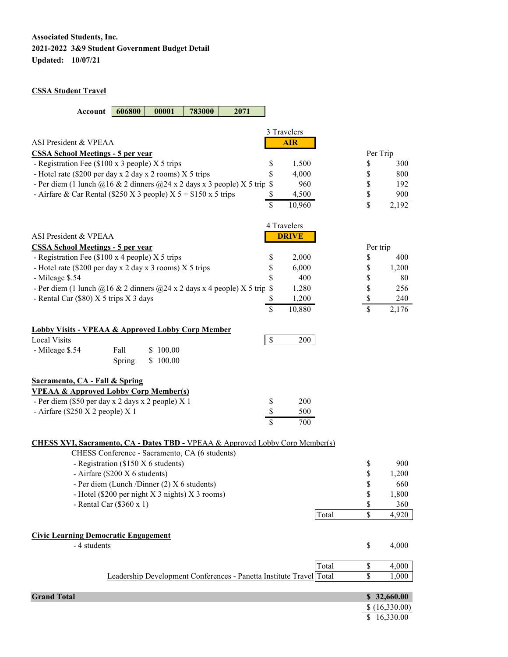#### **CSSA Student Travel**

| 606800<br>Account<br>00001<br>783000<br>2071                                                   |                          |                |
|------------------------------------------------------------------------------------------------|--------------------------|----------------|
| 3 Travelers                                                                                    |                          |                |
| ASI President & VPEAA<br><b>AIR</b>                                                            |                          |                |
| <b>CSSA School Meetings - 5 per year</b>                                                       | Per Trip                 |                |
| - Registration Fee (\$100 x 3 people) X 5 trips<br>1,500<br>\$                                 | \$                       | 300            |
| - Hotel rate (\$200 per day x 2 day x 2 rooms) X 5 trips<br>\$<br>4,000                        | \$                       | 800            |
| - Per diem (1 lunch $@16 \& 2$ dinners $@24 \times 2$ days x 3 people) X 5 trip<br>960<br>\$   | \$                       | 192            |
| - Airfare & Car Rental (\$250 X 3 people) $X$ 5 + \$150 x 5 trips<br>4,500<br>\$               | \$                       | 900            |
| $\overline{\$}$<br>$\overline{10,960}$                                                         | \$                       | 2,192          |
| 4 Travelers                                                                                    |                          |                |
| <b>DRIVE</b><br>ASI President & VPEAA                                                          |                          |                |
| <b>CSSA School Meetings - 5 per year</b>                                                       | Per trip                 |                |
| - Registration Fee (\$100 x 4 people) X 5 trips<br>\$<br>2,000                                 | \$                       | 400            |
| - Hotel rate (\$200 per day x 2 day x 3 rooms) X 5 trips<br>\$<br>6,000                        | \$                       | 1,200          |
| \$<br>400<br>- Mileage \$.54                                                                   | \$                       | 80             |
| - Per diem (1 lunch $@16 \& 2$ dinners $@24 \times 2$ days x 4 people) X 5 trip<br>1,280<br>\$ | \$                       | 256            |
| - Rental Car (\$80) X 5 trips X 3 days<br>1,200<br>\$                                          | \$                       | 240            |
| $\overline{\mathbb{S}}$<br>10,880                                                              | $\overline{\mathbb{S}}$  | 2,176          |
| <b>Lobby Visits - VPEAA &amp; Approved Lobby Corp Member</b>                                   |                          |                |
| $\mathbb S$<br><b>Local Visits</b><br>200                                                      |                          |                |
| \$100.00<br>- Mileage \$.54<br>Fall                                                            |                          |                |
| \$100.00<br>Spring                                                                             |                          |                |
| <b>Sacramento, CA - Fall &amp; Spring</b>                                                      |                          |                |
| <b>VPEAA &amp; Approved Lobby Corp Member(s)</b>                                               |                          |                |
| 200<br>- Per diem (\$50 per day x 2 days x 2 people) X 1<br>\$                                 |                          |                |
| \$<br>- Airfare (\$250 X 2 people) X 1<br>500                                                  |                          |                |
| $\overline{\mathbb{S}}$<br>700                                                                 |                          |                |
| <b>CHESS XVI, Sacramento, CA - Dates TBD - VPEAA &amp; Approved Lobby Corp Member(s)</b>       |                          |                |
| CHESS Conference - Sacramento, CA (6 students)                                                 |                          |                |
| - Registration (\$150 X 6 students)                                                            | \$                       | 900            |
| - Airfare (\$200 X 6 students)                                                                 | \$                       | 1,200          |
| - Per diem (Lunch /Dinner (2) X 6 students)                                                    | \$                       | 660            |
| - Hotel (\$200 per night X 3 nights) X 3 rooms)                                                | \$                       | 1,800          |
| - Rental Car $(\$360 x 1)$                                                                     | \$                       | 360            |
| Total                                                                                          | $\overline{\mathcal{S}}$ | 4,920          |
| <b>Civic Learning Democratic Engagement</b>                                                    |                          |                |
| - 4 students                                                                                   | \$                       | 4,000          |
| Total                                                                                          | \$                       | 4,000          |
| Leadership Development Conferences - Panetta Institute Travel Total                            | \$                       | 1,000          |
| <b>Grand Total</b>                                                                             |                          | \$32,660.00    |
|                                                                                                |                          | \$ (16,330.00) |
|                                                                                                |                          | \$16,330.00    |
|                                                                                                |                          |                |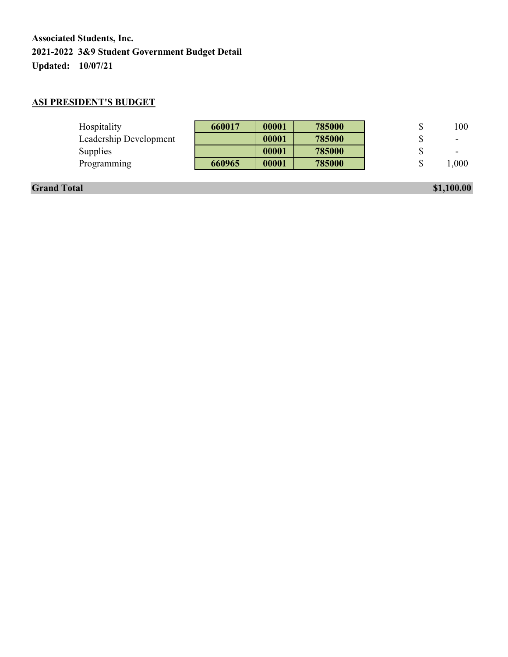### **ASI PRESIDENT'S BUDGET**

| Hospitality            | 660017 | 00001 | 785000 | 100  |
|------------------------|--------|-------|--------|------|
| Leadership Development |        | 00001 | 785000 |      |
| Supplies               |        | 00001 | 785000 |      |
| Programming            | 660965 | 00001 | 785000 | 000, |
|                        |        |       |        |      |

**Grand Total \$1,100.00 \$1,100.00**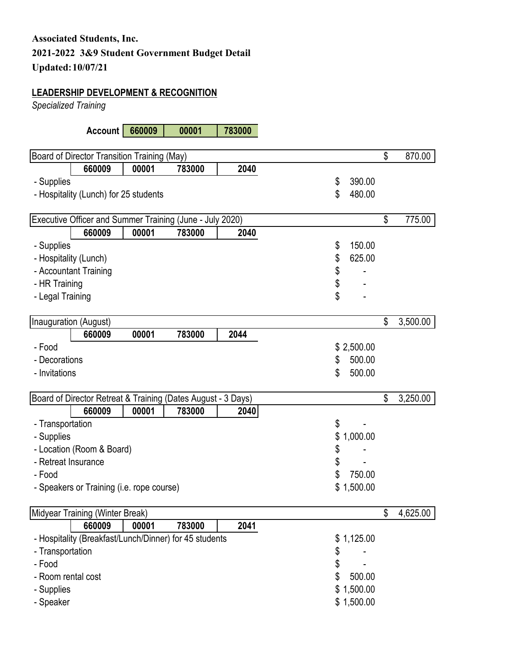### **LEADERSHIP DEVELOPMENT & RECOGNITION**

*Specialized Training* 

**Account 660009 00001 783000**

|                     | Board of Director Transition Training (May)                  |       |        |      |                | \$<br>870.00   |
|---------------------|--------------------------------------------------------------|-------|--------|------|----------------|----------------|
|                     | 660009                                                       | 00001 | 783000 | 2040 |                |                |
| - Supplies          |                                                              |       |        |      | \$<br>390.00   |                |
|                     | - Hospitality (Lunch) for 25 students                        |       |        |      | \$<br>480.00   |                |
|                     |                                                              |       |        |      |                |                |
|                     | Executive Officer and Summer Training (June - July 2020)     |       |        |      |                | \$<br>775.00   |
|                     | 660009                                                       | 00001 | 783000 | 2040 |                |                |
| - Supplies          |                                                              |       |        |      | \$<br>150.00   |                |
|                     | - Hospitality (Lunch)                                        |       |        |      | \$<br>625.00   |                |
|                     | - Accountant Training                                        |       |        |      | \$             |                |
| - HR Training       |                                                              |       |        |      | \$             |                |
| - Legal Training    |                                                              |       |        |      | \$             |                |
|                     |                                                              |       |        |      |                |                |
|                     | Inauguration (August)                                        |       |        |      |                | \$<br>3,500.00 |
|                     | 660009                                                       | 00001 | 783000 | 2044 |                |                |
| - Food              |                                                              |       |        |      | \$2,500.00     |                |
| - Decorations       |                                                              |       |        |      | \$<br>500.00   |                |
| - Invitations       |                                                              |       |        |      | \$<br>500.00   |                |
|                     |                                                              |       |        |      |                |                |
|                     | Board of Director Retreat & Training (Dates August - 3 Days) |       |        |      |                | \$<br>3,250.00 |
|                     | 660009                                                       | 00001 | 783000 | 2040 |                |                |
| - Transportation    |                                                              |       |        |      | \$             |                |
| - Supplies          |                                                              |       |        |      | \$<br>1,000.00 |                |
|                     | - Location (Room & Board)                                    |       |        |      | \$             |                |
| - Retreat Insurance |                                                              |       |        |      | \$             |                |
| - Food              |                                                              |       |        |      | \$<br>750.00   |                |
|                     | - Speakers or Training (i.e. rope course)                    |       |        |      | \$1,500.00     |                |
|                     |                                                              |       |        |      |                |                |
|                     | Midyear Training (Winter Break)                              |       |        |      |                | \$<br>4,625.00 |
|                     | 660009                                                       | 00001 | 783000 | 2041 |                |                |
|                     | - Hospitality (Breakfast/Lunch/Dinner) for 45 students       |       |        |      | \$<br>1,125.00 |                |
| - Transportation    |                                                              |       |        |      | \$             |                |
| - Food              |                                                              |       |        |      | \$             |                |
| - Room rental cost  |                                                              |       |        |      | \$<br>500.00   |                |
| - Supplies          |                                                              |       |        |      | \$1,500.00     |                |
| - Speaker           |                                                              |       |        |      | \$1,500.00     |                |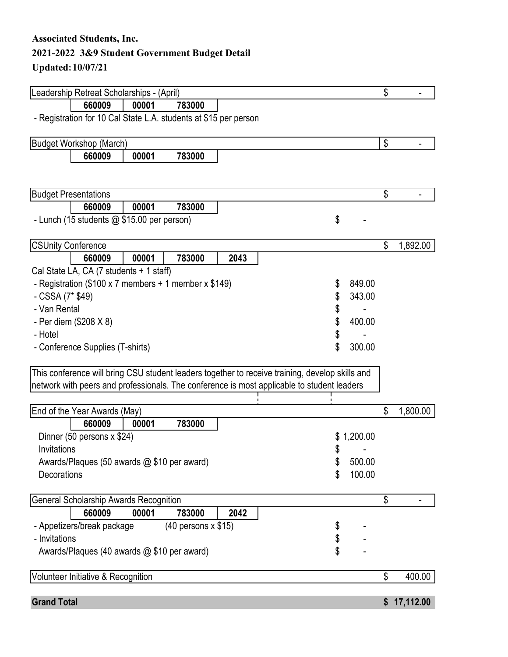## **Updated: 10/07/21**

|                             | Leadership Retreat Scholarships - (April)                        |       |                       |      |                                                                                                 |          |          | \$<br>$\blacksquare$ |
|-----------------------------|------------------------------------------------------------------|-------|-----------------------|------|-------------------------------------------------------------------------------------------------|----------|----------|----------------------|
|                             | 660009                                                           | 00001 | 783000                |      |                                                                                                 |          |          |                      |
|                             | - Registration for 10 Cal State L.A. students at \$15 per person |       |                       |      |                                                                                                 |          |          |                      |
|                             |                                                                  |       |                       |      |                                                                                                 |          |          |                      |
|                             | <b>Budget Workshop (March)</b>                                   |       |                       |      |                                                                                                 |          |          | \$                   |
|                             | 660009                                                           | 00001 | 783000                |      |                                                                                                 |          |          |                      |
|                             |                                                                  |       |                       |      |                                                                                                 |          |          |                      |
| <b>Budget Presentations</b> |                                                                  |       |                       |      |                                                                                                 |          |          | \$                   |
|                             | 660009                                                           | 00001 | 783000                |      |                                                                                                 |          |          |                      |
|                             | - Lunch (15 students @ \$15.00 per person)                       |       |                       |      |                                                                                                 | \$       |          |                      |
|                             |                                                                  |       |                       |      |                                                                                                 |          |          |                      |
| <b>CSUnity Conference</b>   |                                                                  |       |                       |      |                                                                                                 |          |          | \$<br>1,892.00       |
|                             | 660009                                                           | 00001 | 783000                | 2043 |                                                                                                 |          |          |                      |
|                             | Cal State LA, CA (7 students + 1 staff)                          |       |                       |      |                                                                                                 |          |          |                      |
|                             | - Registration (\$100 x 7 members + 1 member x \$149)            |       |                       |      |                                                                                                 | \$       | 849.00   |                      |
| - CSSA (7* \$49)            |                                                                  |       |                       |      |                                                                                                 | \$       | 343.00   |                      |
| - Van Rental                |                                                                  |       |                       |      |                                                                                                 | \$       |          |                      |
|                             | - Per diem (\$208 X 8)                                           |       |                       |      |                                                                                                 | \$       | 400.00   |                      |
| - Hotel                     |                                                                  |       |                       |      |                                                                                                 | \$       |          |                      |
|                             | - Conference Supplies (T-shirts)                                 |       |                       |      |                                                                                                 | \$       | 300.00   |                      |
|                             |                                                                  |       |                       |      | This conference will bring CSU student leaders together to receive training, develop skills and |          |          |                      |
|                             |                                                                  |       |                       |      | network with peers and professionals. The conference is most applicable to student leaders      |          |          |                      |
|                             |                                                                  |       |                       |      |                                                                                                 |          |          |                      |
|                             | End of the Year Awards (May)                                     |       |                       |      |                                                                                                 |          |          | \$<br>1,800.00       |
|                             | 660009                                                           | 00001 | 783000                |      |                                                                                                 |          |          |                      |
|                             | Dinner (50 persons x \$24)                                       |       |                       |      |                                                                                                 | \$       | 1,200.00 |                      |
| Invitations                 |                                                                  |       |                       |      |                                                                                                 | \$       |          |                      |
|                             | Awards/Plaques (50 awards @ \$10 per award)                      |       |                       |      |                                                                                                 | \$       | 500.00   |                      |
| Decorations                 |                                                                  |       |                       |      |                                                                                                 | \$       | 100.00   |                      |
|                             | General Scholarship Awards Recognition                           |       |                       |      |                                                                                                 |          |          | \$                   |
|                             | 660009                                                           | 00001 | 783000                | 2042 |                                                                                                 |          |          |                      |
|                             | - Appetizers/break package                                       |       | $(40$ persons x \$15) |      |                                                                                                 |          |          |                      |
| - Invitations               |                                                                  |       |                       |      |                                                                                                 | \$<br>\$ |          |                      |
|                             | Awards/Plaques (40 awards @ \$10 per award)                      |       |                       |      |                                                                                                 |          |          |                      |
|                             | Volunteer Initiative & Recognition                               |       |                       |      |                                                                                                 |          |          | \$<br>400.00         |
|                             |                                                                  |       |                       |      |                                                                                                 |          |          |                      |
| <b>Grand Total</b>          |                                                                  |       |                       |      |                                                                                                 |          |          | \$<br>17,112.00      |